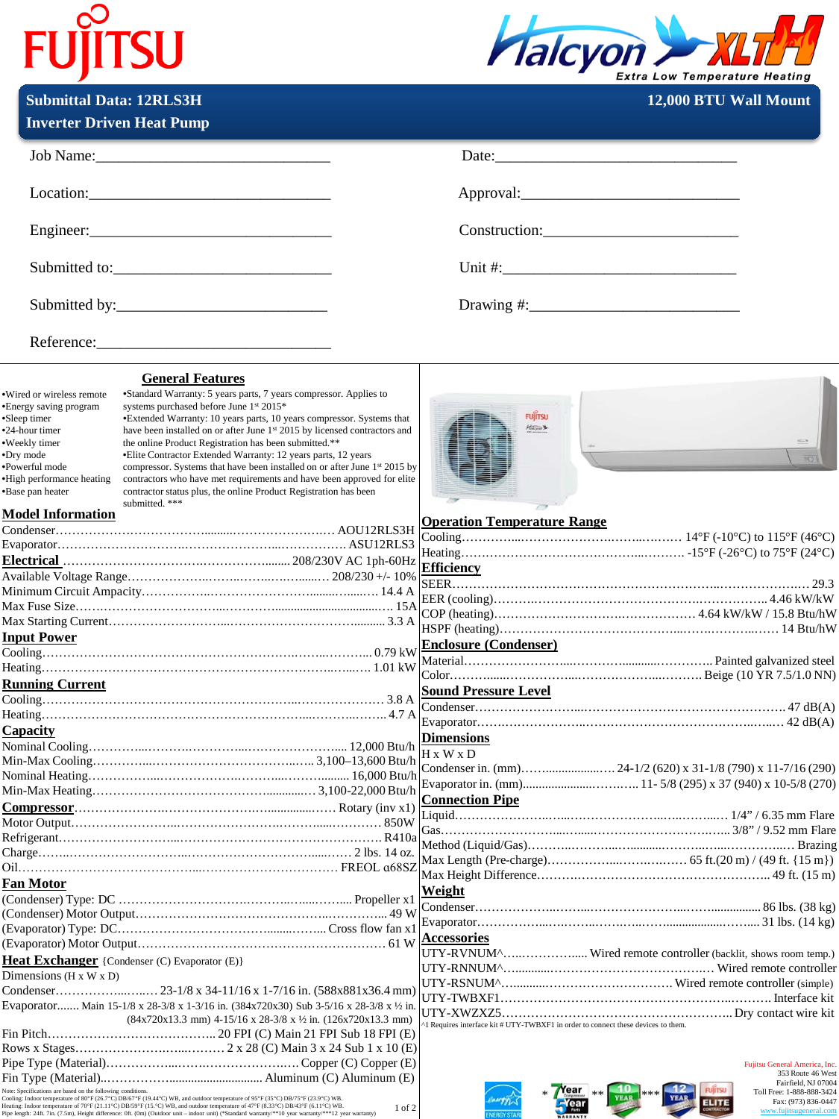## **FUJITSU**



**Submittal Data: 12RLS3H 12,000 BTU Wall Mount** 

|                                                                                                                                                                                        | <b>Inverter Driven Heat Pump</b>                                                                                                                                                                                                                                                                                                                                                                                                                                                                                                                                                                                                                       |                                                                                                                                                                                                                                |                                                                |
|----------------------------------------------------------------------------------------------------------------------------------------------------------------------------------------|--------------------------------------------------------------------------------------------------------------------------------------------------------------------------------------------------------------------------------------------------------------------------------------------------------------------------------------------------------------------------------------------------------------------------------------------------------------------------------------------------------------------------------------------------------------------------------------------------------------------------------------------------------|--------------------------------------------------------------------------------------------------------------------------------------------------------------------------------------------------------------------------------|----------------------------------------------------------------|
|                                                                                                                                                                                        | Job Name:                                                                                                                                                                                                                                                                                                                                                                                                                                                                                                                                                                                                                                              | Date: the contract of the contract of the contract of the contract of the contract of the contract of the contract of the contract of the contract of the contract of the contract of the contract of the contract of the cont |                                                                |
|                                                                                                                                                                                        | $Location:\_$                                                                                                                                                                                                                                                                                                                                                                                                                                                                                                                                                                                                                                          |                                                                                                                                                                                                                                | Approval:                                                      |
|                                                                                                                                                                                        |                                                                                                                                                                                                                                                                                                                                                                                                                                                                                                                                                                                                                                                        |                                                                                                                                                                                                                                | Construction:                                                  |
|                                                                                                                                                                                        | Submitted to:                                                                                                                                                                                                                                                                                                                                                                                                                                                                                                                                                                                                                                          |                                                                                                                                                                                                                                |                                                                |
|                                                                                                                                                                                        |                                                                                                                                                                                                                                                                                                                                                                                                                                                                                                                                                                                                                                                        |                                                                                                                                                                                                                                |                                                                |
|                                                                                                                                                                                        | Reference:                                                                                                                                                                                                                                                                                                                                                                                                                                                                                                                                                                                                                                             |                                                                                                                                                                                                                                |                                                                |
|                                                                                                                                                                                        | <b>General Features</b>                                                                                                                                                                                                                                                                                                                                                                                                                                                                                                                                                                                                                                |                                                                                                                                                                                                                                |                                                                |
| ·Wired or wireless remote<br>•Energy saving program<br>•Sleep timer<br>•24-hour timer<br>•Weekly timer<br>•Dry mode<br>·Powerful mode<br>•High performance heating<br>•Base pan heater | •Standard Warranty: 5 years parts, 7 years compressor. Applies to<br>systems purchased before June 1st 2015*<br>*Extended Warranty: 10 years parts, 10 years compressor. Systems that<br>have been installed on or after June 1st 2015 by licensed contractors and<br>the online Product Registration has been submitted.**<br>• Elite Contractor Extended Warranty: 12 years parts, 12 years<br>compressor. Systems that have been installed on or after June 1 <sup>st</sup> 2015 by<br>contractors who have met requirements and have been approved for elite<br>contractor status plus, the online Product Registration has been<br>submitted. *** | <b>FUJITSU</b><br>Hokyon Sh                                                                                                                                                                                                    |                                                                |
| <b>Model Information</b>                                                                                                                                                               |                                                                                                                                                                                                                                                                                                                                                                                                                                                                                                                                                                                                                                                        | <b>Operation Temperature Range</b>                                                                                                                                                                                             |                                                                |
|                                                                                                                                                                                        |                                                                                                                                                                                                                                                                                                                                                                                                                                                                                                                                                                                                                                                        |                                                                                                                                                                                                                                |                                                                |
|                                                                                                                                                                                        |                                                                                                                                                                                                                                                                                                                                                                                                                                                                                                                                                                                                                                                        |                                                                                                                                                                                                                                |                                                                |
|                                                                                                                                                                                        |                                                                                                                                                                                                                                                                                                                                                                                                                                                                                                                                                                                                                                                        | Efficiency                                                                                                                                                                                                                     |                                                                |
|                                                                                                                                                                                        |                                                                                                                                                                                                                                                                                                                                                                                                                                                                                                                                                                                                                                                        |                                                                                                                                                                                                                                |                                                                |
|                                                                                                                                                                                        |                                                                                                                                                                                                                                                                                                                                                                                                                                                                                                                                                                                                                                                        |                                                                                                                                                                                                                                |                                                                |
|                                                                                                                                                                                        |                                                                                                                                                                                                                                                                                                                                                                                                                                                                                                                                                                                                                                                        |                                                                                                                                                                                                                                |                                                                |
|                                                                                                                                                                                        |                                                                                                                                                                                                                                                                                                                                                                                                                                                                                                                                                                                                                                                        |                                                                                                                                                                                                                                |                                                                |
| <b>Input Power</b>                                                                                                                                                                     |                                                                                                                                                                                                                                                                                                                                                                                                                                                                                                                                                                                                                                                        | <b>Enclosure (Condenser)</b>                                                                                                                                                                                                   |                                                                |
|                                                                                                                                                                                        |                                                                                                                                                                                                                                                                                                                                                                                                                                                                                                                                                                                                                                                        |                                                                                                                                                                                                                                |                                                                |
|                                                                                                                                                                                        |                                                                                                                                                                                                                                                                                                                                                                                                                                                                                                                                                                                                                                                        |                                                                                                                                                                                                                                |                                                                |
| <b>Running Current</b>                                                                                                                                                                 |                                                                                                                                                                                                                                                                                                                                                                                                                                                                                                                                                                                                                                                        | <b>Sound Pressure Level</b>                                                                                                                                                                                                    |                                                                |
|                                                                                                                                                                                        |                                                                                                                                                                                                                                                                                                                                                                                                                                                                                                                                                                                                                                                        |                                                                                                                                                                                                                                |                                                                |
|                                                                                                                                                                                        |                                                                                                                                                                                                                                                                                                                                                                                                                                                                                                                                                                                                                                                        |                                                                                                                                                                                                                                |                                                                |
| Capacity                                                                                                                                                                               |                                                                                                                                                                                                                                                                                                                                                                                                                                                                                                                                                                                                                                                        | <b>Dimensions</b>                                                                                                                                                                                                              |                                                                |
|                                                                                                                                                                                        |                                                                                                                                                                                                                                                                                                                                                                                                                                                                                                                                                                                                                                                        | $H \times W \times D$                                                                                                                                                                                                          |                                                                |
|                                                                                                                                                                                        |                                                                                                                                                                                                                                                                                                                                                                                                                                                                                                                                                                                                                                                        |                                                                                                                                                                                                                                |                                                                |
|                                                                                                                                                                                        |                                                                                                                                                                                                                                                                                                                                                                                                                                                                                                                                                                                                                                                        |                                                                                                                                                                                                                                |                                                                |
|                                                                                                                                                                                        |                                                                                                                                                                                                                                                                                                                                                                                                                                                                                                                                                                                                                                                        | <b>Connection Pipe</b>                                                                                                                                                                                                         |                                                                |
|                                                                                                                                                                                        |                                                                                                                                                                                                                                                                                                                                                                                                                                                                                                                                                                                                                                                        |                                                                                                                                                                                                                                |                                                                |
|                                                                                                                                                                                        |                                                                                                                                                                                                                                                                                                                                                                                                                                                                                                                                                                                                                                                        |                                                                                                                                                                                                                                |                                                                |
|                                                                                                                                                                                        |                                                                                                                                                                                                                                                                                                                                                                                                                                                                                                                                                                                                                                                        |                                                                                                                                                                                                                                |                                                                |
|                                                                                                                                                                                        |                                                                                                                                                                                                                                                                                                                                                                                                                                                                                                                                                                                                                                                        |                                                                                                                                                                                                                                |                                                                |
|                                                                                                                                                                                        |                                                                                                                                                                                                                                                                                                                                                                                                                                                                                                                                                                                                                                                        |                                                                                                                                                                                                                                |                                                                |
| Fan Motor                                                                                                                                                                              |                                                                                                                                                                                                                                                                                                                                                                                                                                                                                                                                                                                                                                                        | Weight                                                                                                                                                                                                                         |                                                                |
|                                                                                                                                                                                        |                                                                                                                                                                                                                                                                                                                                                                                                                                                                                                                                                                                                                                                        |                                                                                                                                                                                                                                |                                                                |
|                                                                                                                                                                                        |                                                                                                                                                                                                                                                                                                                                                                                                                                                                                                                                                                                                                                                        |                                                                                                                                                                                                                                |                                                                |
|                                                                                                                                                                                        |                                                                                                                                                                                                                                                                                                                                                                                                                                                                                                                                                                                                                                                        | <b>Accessories</b>                                                                                                                                                                                                             |                                                                |
|                                                                                                                                                                                        |                                                                                                                                                                                                                                                                                                                                                                                                                                                                                                                                                                                                                                                        |                                                                                                                                                                                                                                | UTY-RVNUM^ Wired remote controller (backlit, shows room temp.) |
| <b>Heat Exchanger</b> {Condenser $(C)$ Evaporator $(E)$ }                                                                                                                              |                                                                                                                                                                                                                                                                                                                                                                                                                                                                                                                                                                                                                                                        |                                                                                                                                                                                                                                |                                                                |
| Dimensions ( $H \times W \times D$ )                                                                                                                                                   |                                                                                                                                                                                                                                                                                                                                                                                                                                                                                                                                                                                                                                                        |                                                                                                                                                                                                                                |                                                                |
|                                                                                                                                                                                        |                                                                                                                                                                                                                                                                                                                                                                                                                                                                                                                                                                                                                                                        |                                                                                                                                                                                                                                |                                                                |
| Evaporator Main 15-1/8 x 28-3/8 x 1-3/16 in. (384x720x30) Sub 3-5/16 x 28-3/8 x $\frac{1}{2}$ in.                                                                                      |                                                                                                                                                                                                                                                                                                                                                                                                                                                                                                                                                                                                                                                        |                                                                                                                                                                                                                                |                                                                |
|                                                                                                                                                                                        | $(84x720x13.3 \text{ mm})$ 4-15/16 x 28-3/8 x 1/2 in. $(126x720x13.3 \text{ mm})$                                                                                                                                                                                                                                                                                                                                                                                                                                                                                                                                                                      | <sup>1</sup> Requires interface kit # UTY-TWBXF1 in order to connect these devices to them.                                                                                                                                    |                                                                |
|                                                                                                                                                                                        |                                                                                                                                                                                                                                                                                                                                                                                                                                                                                                                                                                                                                                                        |                                                                                                                                                                                                                                |                                                                |
|                                                                                                                                                                                        |                                                                                                                                                                                                                                                                                                                                                                                                                                                                                                                                                                                                                                                        |                                                                                                                                                                                                                                | Fujitsu General America, Inc.                                  |
|                                                                                                                                                                                        |                                                                                                                                                                                                                                                                                                                                                                                                                                                                                                                                                                                                                                                        |                                                                                                                                                                                                                                |                                                                |

Fin Type (Material)..…………….............................. Aluminum (C) Aluminum (E) Note: Specifications are based on the following conditions.<br>Cooling: Indoor temperature of 80°F (26.7°C) DB(67°F (19.44°C) WB, and outdoor temperature of 95°F (35°C) DB/5°F (23.9°C) WB.<br>Heating: Indoor temperature of 70°F 1 of 2





Fujitsu General America, Inc. 353 Route 46 West Fairfield, NJ 07004 Toll Free: 1-888-888-3424 Fax: (973) 836-0447 www.fujitsugeneral.com